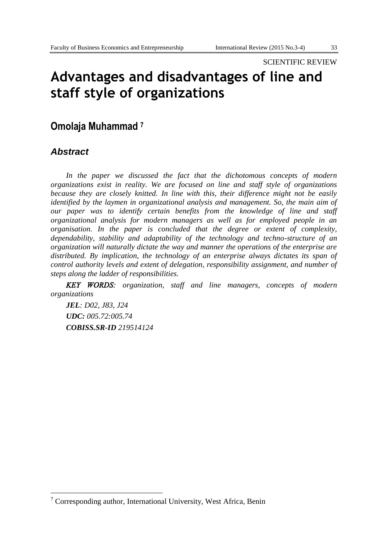SCIENTIFIC REVIEW

# **Advantages and disadvantages of line and staff style of organizations**

## **Omolaja Muhammad <sup>7</sup>**

## *Abstract*

 $\overline{a}$ 

In the paper we discussed the fact that the dichotomous concepts of modern *organizations exist in reality. We are focused on line and staff style of organizations because they are closely knitted. In line with this, their difference might not be easily identified by the laymen in organizational analysis and management. So, the main aim of our paper was to identify certain benefits from the knowledge of line and staff organizational analysis for modern managers as well as for employed people in an organisation. In the paper is concluded that the degree or extent of complexity, dependability, stability and adaptability of the technology and techno-structure of an organization will naturally dictate the way and manner the operations of the enterprise are distributed. By implication, the technology of an enterprise always dictates its span of control authority levels and extent of delegation, responsibility assignment, and number of steps along the ladder of responsibilities.*

*KEY WORDS: organization, staff and line managers, concepts of modern organizations*

*JEL: D02, J83, J24 UDC: 005.72:005.74 COBISS.SR-ID 219514124*

 $7$  Corresponding author, International University, West Africa, Benin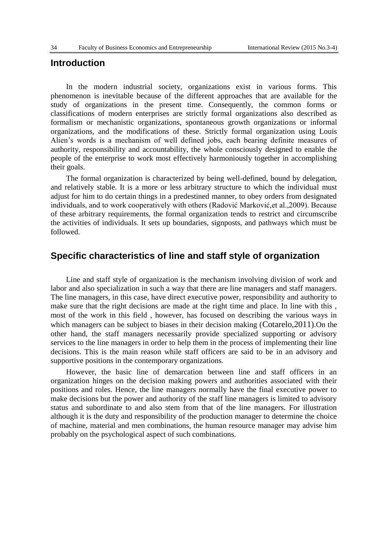## **Introduction**

In the modern industrial society, organizations exist in various forms. This phenomenon is inevitable because of the different approaches that are available for the study of organizations in the present time. Consequently, the common forms or classifications of modern enterprises are strictly formal organizations also described as formalism or mechanistic organizations, spontaneous growth organizations or informal organizations, and the modifications of these. Strictly formal organization using Louis Alien's words is a mechanism of well defined jobs, each bearing definite measures of authority, responsibility and accountability, the whole consciously designed to enable the people of the enterprise to work most effectively harmoniously together in accomplishing their goals.

The formal organization is characterized by being well-defined, bound by delegation, and relatively stable. It is a more or less arbitrary structure to which the individual must adjust for him to do certain things in a predestined manner, to obey orders from designated individuals, and to work cooperatively with others (Radović Marković,et al.,2009). Because of these arbitrary requirements, the formal organization tends to restrict and circumscribe the activities of individuals. It sets up boundaries, signposts, and pathways which must be followed.

#### **Specific characteristics of line and staff style of organization**

Line and staff style of organization is the mechanism involving division of work and labor and also specialization in such a way that there are line managers and staff managers. The line managers, in this case, have direct executive power, responsibility and authority to make sure that the right decisions are made at the right time and place. In line with this , most of the work in this field , however, has focused on describing the various ways in which managers can be subject to biases in their decision making (Cotarelo, 2011). On the other hand, the staff managers necessarily provide specialized supporting or advisory services to the line managers in order to help them in the process of implementing their line decisions. This is the main reason while staff officers are said to be in an advisory and supportive positions in the contemporary organizations.

However, the basic line of demarcation between line and staff officers in an organization hinges on the decision making powers and authorities associated with their positions and roles. Hence, the line managers normally have the final executive power to make decisions but the power and authority of the staff line managers is limited to advisory status and subordinate to and also stem from that of the line managers. For illustration although it is the duty and responsibility of the production manager to determine the choice of machine, material and men combinations, the human resource manager may advise him probably on the psychological aspect of such combinations.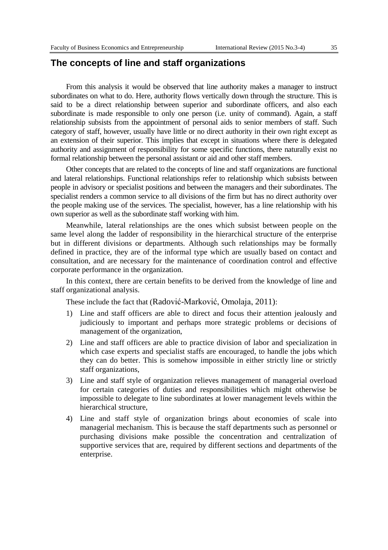#### **The concepts of line and staff organizations**

From this analysis it would be observed that line authority makes a manager to instruct subordinates on what to do. Here, authority flows vertically down through the structure. This is said to be a direct relationship between superior and subordinate officers, and also each subordinate is made responsible to only one person (i.e. unity of command). Again, a staff relationship subsists from the appointment of personal aids to senior members of staff. Such category of staff, however, usually have little or no direct authority in their own right except as an extension of their superior. This implies that except in situations where there is delegated authority and assignment of responsibility for some specific functions, there naturally exist no formal relationship between the personal assistant or aid and other staff members.

Other concepts that are related to the concepts of line and staff organizations are functional and lateral relationships. Functional relationships refer to relationship which subsists between people in advisory or specialist positions and between the managers and their subordinates. The specialist renders a common service to all divisions of the firm but has no direct authority over the people making use of the services. The specialist, however, has a line relationship with his own superior as well as the subordinate staff working with him.

Meanwhile, lateral relationships are the ones which subsist between people on the same level along the ladder of responsibility in the hierarchical structure of the enterprise but in different divisions or departments. Although such relationships may be formally defined in practice, they are of the informal type which are usually based on contact and consultation, and are necessary for the maintenance of coordination control and effective corporate performance in the organization.

In this context, there are certain benefits to be derived from the knowledge of line and staff organizational analysis.

These include the fact that (Radović-Marković, Omolaja, 2011):

- 1) Line and staff officers are able to direct and focus their attention jealously and judiciously to important and perhaps more strategic problems or decisions of management of the organization,
- 2) Line and staff officers are able to practice division of labor and specialization in which case experts and specialist staffs are encouraged, to handle the jobs which they can do better. This is somehow impossible in either strictly line or strictly staff organizations,
- 3) Line and staff style of organization relieves management of managerial overload for certain categories of duties and responsibilities which might otherwise be impossible to delegate to line subordinates at lower management levels within the hierarchical structure,
- 4) Line and staff style of organization brings about economies of scale into managerial mechanism. This is because the staff departments such as personnel or purchasing divisions make possible the concentration and centralization of supportive services that are, required by different sections and departments of the enterprise.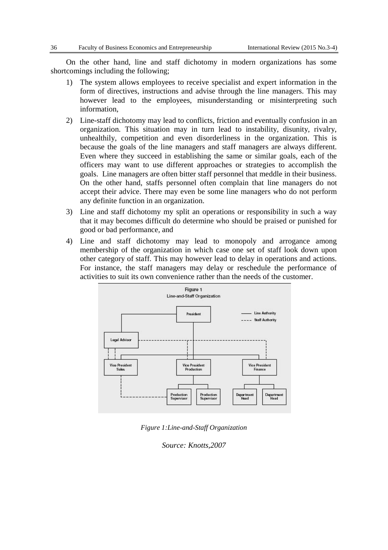On the other hand, line and staff dichotomy in modern organizations has some shortcomings including the following;

- 1) The system allows employees to receive specialist and expert information in the form of directives, instructions and advise through the line managers. This may however lead to the employees, misunderstanding or misinterpreting such information,
- 2) Line-staff dichotomy may lead to conflicts, friction and eventually confusion in an organization. This situation may in turn lead to instability, disunity, rivalry, unhealthily, competition and even disorderliness in the organization. This is because the goals of the line managers and staff managers are always different. Even where they succeed in establishing the same or similar goals, each of the officers may want to use different approaches or strategies to accomplish the goals. Line managers are often bitter staff personnel that meddle in their business. On the other hand, staffs personnel often complain that line managers do not accept their advice. There may even be some line managers who do not perform any definite function in an organization.
- 3) Line and staff dichotomy my split an operations or responsibility in such a way that it may becomes difficult do determine who should be praised or punished for good or bad performance, and
- 4) Line and staff dichotomy may lead to monopoly and arrogance among membership of the organization in which case one set of staff look down upon other category of staff. This may however lead to delay in operations and actions. For instance, the staff managers may delay or reschedule the performance of activities to suit its own convenience rather than the needs of the customer.



*Figure 1:Line-and-Staff Organization*

*Source: Knotts,2007*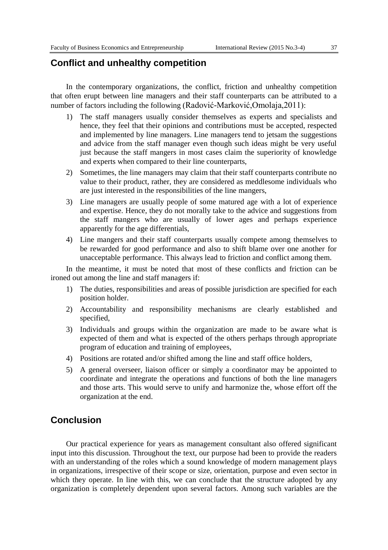#### **Conflict and unhealthy competition**

In the contemporary organizations, the conflict, friction and unhealthy competition that often erupt between line managers and their staff counterparts can be attributed to a number of factors including the following (Radović-Marković,Omolaja,2011):

- 1) The staff managers usually consider themselves as experts and specialists and hence, they feel that their opinions and contributions must be accepted, respected and implemented by line managers. Line managers tend to jetsam the suggestions and advice from the staff manager even though such ideas might be very useful just because the staff mangers in most cases claim the superiority of knowledge and experts when compared to their line counterparts,
- 2) Sometimes, the line managers may claim that their staff counterparts contribute no value to their product, rather, they are considered as meddlesome individuals who are just interested in the responsibilities of the line mangers,
- 3) Line managers are usually people of some matured age with a lot of experience and expertise. Hence, they do not morally take to the advice and suggestions from the staff mangers who are usually of lower ages and perhaps experience apparently for the age differentials,
- 4) Line mangers and their staff counterparts usually compete among themselves to be rewarded for good performance and also to shift blame over one another for unacceptable performance. This always lead to friction and conflict among them.

In the meantime, it must be noted that most of these conflicts and friction can be ironed out among the line and staff managers if:

- 1) The duties, responsibilities and areas of possible jurisdiction are specified for each position holder.
- 2) Accountability and responsibility mechanisms are clearly established and specified,
- 3) Individuals and groups within the organization are made to be aware what is expected of them and what is expected of the others perhaps through appropriate program of education and training of employees,
- 4) Positions are rotated and/or shifted among the line and staff office holders,
- 5) A general overseer, liaison officer or simply a coordinator may be appointed to coordinate and integrate the operations and functions of both the line managers and those arts. This would serve to unify and harmonize the, whose effort off the organization at the end.

## **Conclusion**

Our practical experience for years as management consultant also offered significant input into this discussion. Throughout the text, our purpose had been to provide the readers with an understanding of the roles which a sound knowledge of modern management plays in organizations, irrespective of their scope or size, orientation, purpose and even sector in which they operate. In line with this, we can conclude that the structure adopted by any organization is completely dependent upon several factors. Among such variables are the